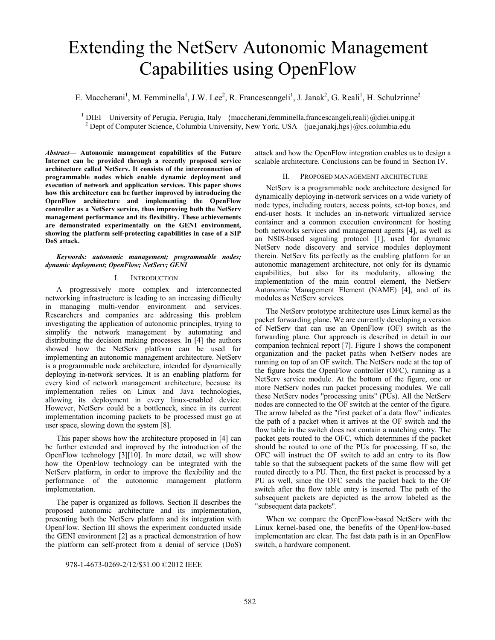# Extending the NetServ Autonomic Management Capabilities using OpenFlow

E. Maccherani<sup>1</sup>, M. Femminella<sup>1</sup>, J.W. Lee<sup>2</sup>, R. Francescangeli<sup>1</sup>, J. Janak<sup>2</sup>, G. Reali<sup>1</sup>, H. Schulzrinne<sup>2</sup>

<sup>1</sup> DIEI – University of Perugia, Perugia, Italy {maccherani, femminella, francescangeli, reali}@diei.unipg.it <sup>2</sup> Dept of Computer Science, Columbia University, New York, USA {jae,janakj,hgs}@cs.columbia.edu

*Abstract*— **Autonomic management capabilities of the Future Internet can be provided through a recently proposed service architecture called NetServ. It consists of the interconnection of programmable nodes which enable dynamic deployment and execution of network and application services. This paper shows how this architecture can be further improved by introducing the OpenFlow architecture and implementing the OpenFlow controller as a NetServ service, thus improving both the NetServ management performance and its flexibility. These achievements are demonstrated experimentally on the GENI environment, showing the platform self-protecting capabilities in case of a SIP DoS attack.** 

## *Keywords: autonomic management; programmable nodes; dynamic deployment; OpenFlow; NetServ; GENI*

#### I. INTRODUCTION

A progressively more complex and interconnected networking infrastructure is leading to an increasing difficulty in managing multi-vendor environment and services. Researchers and companies are addressing this problem investigating the application of autonomic principles, trying to simplify the network management by automating and distributing the decision making processes. In [4] the authors showed how the NetServ platform can be used for implementing an autonomic management architecture. NetServ is a programmable node architecture, intended for dynamically deploying in-network services. It is an enabling platform for every kind of network management architecture, because its implementation relies on Linux and Java technologies, allowing its deployment in every linux-enabled device. However, NetServ could be a bottleneck, since in its current implementation incoming packets to be processed must go at user space, slowing down the system [8].

This paper shows how the architecture proposed in [4] can be further extended and improved by the introduction of the OpenFlow technology [3][10]. In more detail, we will show how the OpenFlow technology can be integrated with the NetServ platform, in order to improve the flexibility and the performance of the autonomic management platform implementation.

The paper is organized as follows. Section II describes the proposed autonomic architecture and its implementation, presenting both the NetServ platform and its integration with OpenFlow. Section III shows the experiment conducted inside the GENI environment [2] as a practical demonstration of how the platform can self-protect from a denial of service (DoS)

## 978-1-4673-0269-2/12/\$31.00 ©2012 IEEE

attack and how the OpenFlow integration enables us to design a scalable architecture. Conclusions can be found in Section IV.

## II. PROPOSED MANAGEMENT ARCHITECTURE

NetServ is a programmable node architecture designed for dynamically deploying in-network services on a wide variety of node types, including routers, access points, set-top boxes, and end-user hosts. It includes an in-network virtualized service container and a common execution environment for hosting both networks services and management agents [4], as well as an NSIS-based signaling protocol [1], used for dynamic NetServ node discovery and service modules deployment therein. NetServ fits perfectly as the enabling platform for an autonomic management architecture, not only for its dynamic capabilities, but also for its modularity, allowing the implementation of the main control element, the NetServ Autonomic Management Element (NAME) [4], and of its modules as NetServ services.

The NetServ prototype architecture uses Linux kernel as the packet forwarding plane. We are currently developing a version of NetServ that can use an OpenFlow (OF) switch as the forwarding plane. Our approach is described in detail in our companion technical report [7]. Figure 1 shows the component organization and the packet paths when NetServ nodes are running on top of an OF switch. The NetServ node at the top of the figure hosts the OpenFlow controller (OFC), running as a NetServ service module. At the bottom of the figure, one or more NetServ nodes run packet processing modules. We call these NetServ nodes "processing units" (PUs). All the NetServ nodes are connected to the OF switch at the center of the figure. The arrow labeled as the "first packet of a data flow" indicates the path of a packet when it arrives at the OF switch and the flow table in the switch does not contain a matching entry. The packet gets routed to the OFC, which determines if the packet should be routed to one of the PUs for processing. If so, the OFC will instruct the OF switch to add an entry to its flow table so that the subsequent packets of the same flow will get routed directly to a PU. Then, the first packet is processed by a PU as well, since the OFC sends the packet back to the OF switch after the flow table entry is inserted. The path of the subsequent packets are depicted as the arrow labeled as the "subsequent data packets".

When we compare the OpenFlow-based NetServ with the Linux kernel-based one, the benefits of the OpenFlow-based implementation are clear. The fast data path is in an OpenFlow switch, a hardware component.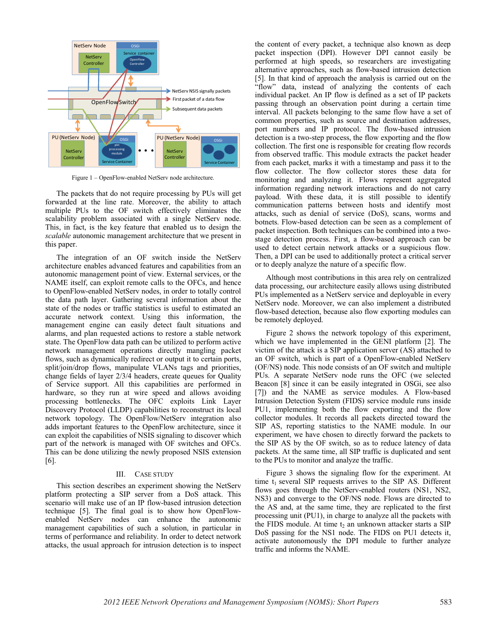

Figure 1 – OpenFlow-enabled NetServ node architecture.

The packets that do not require processing by PUs will get forwarded at the line rate. Moreover, the ability to attach multiple PUs to the OF switch effectively eliminates the scalability problem associated with a single NetServ node. This, in fact, is the key feature that enabled us to design the *scalable* autonomic management architecture that we present in this paper.

The integration of an OF switch inside the NetServ architecture enables advanced features and capabilities from an autonomic management point of view. External services, or the NAME itself, can exploit remote calls to the OFCs, and hence to OpenFlow-enabled NetServ nodes, in order to totally control the data path layer. Gathering several information about the state of the nodes or traffic statistics is useful to estimated an accurate network context. Using this information, the management engine can easily detect fault situations and alarms, and plan requested actions to restore a stable network state. The OpenFlow data path can be utilized to perform active network management operations directly mangling packet flows, such as dynamically redirect or output it to certain ports, split/join/drop flows, manipulate VLANs tags and priorities, change fields of layer 2/3/4 headers, create queues for Quality of Service support. All this capabilities are performed in hardware, so they run at wire speed and allows avoiding processing bottlenecks. The OFC exploits Link Layer Discovery Protocol (LLDP) capabilities to reconstruct its local network topology. The OpenFlow/NetServ integration also adds important features to the OpenFlow architecture, since it can exploit the capabilities of NSIS signaling to discover which part of the network is managed with OF switches and OFCs. This can be done utilizing the newly proposed NSIS extension [6].

## III. CASE STUDY

This section describes an experiment showing the NetServ platform protecting a SIP server from a DoS attack. This scenario will make use of an IP flow-based intrusion detection technique [5]. The final goal is to show how OpenFlowenabled NetServ nodes can enhance the autonomic management capabilities of such a solution, in particular in terms of performance and reliability. In order to detect network attacks, the usual approach for intrusion detection is to inspect the content of every packet, a technique also known as deep packet inspection (DPI). However DPI cannot easily be performed at high speeds, so researchers are investigating alternative approaches, such as flow-based intrusion detection [5]. In that kind of approach the analysis is carried out on the "flow" data, instead of analyzing the contents of each individual packet. An IP flow is defined as a set of IP packets passing through an observation point during a certain time interval. All packets belonging to the same flow have a set of common properties, such as source and destination addresses, port numbers and IP protocol. The flow-based intrusion detection is a two-step process, the flow exporting and the flow collection. The first one is responsible for creating flow records from observed traffic. This module extracts the packet header from each packet, marks it with a timestamp and pass it to the flow collector. The flow collector stores these data for monitoring and analyzing it. Flows represent aggregated information regarding network interactions and do not carry payload. With these data, it is still possible to identify communication patterns between hosts and identify most attacks, such as denial of service (DoS), scans, worms and botnets. Flow-based detection can be seen as a complement of packet inspection. Both techniques can be combined into a twostage detection process. First, a flow-based approach can be used to detect certain network attacks or a suspicious flow. Then, a DPI can be used to additionally protect a critical server or to deeply analyze the nature of a specific flow.

Although most contributions in this area rely on centralized data processing, our architecture easily allows using distributed PUs implemented as a NetServ service and deployable in every NetServ node. Moreover, we can also implement a distributed flow-based detection, because also flow exporting modules can be remotely deployed.

Figure 2 shows the network topology of this experiment, which we have implemented in the GENI platform [2]. The victim of the attack is a SIP application server (AS) attached to an OF switch, which is part of a OpenFlow-enabled NetServ (OF/NS) node. This node consists of an OF switch and multiple PUs. A separate NetServ node runs the OFC (we selected Beacon [8] since it can be easily integrated in OSGi, see also [7]) and the NAME as service modules. A Flow-based Intrusion Detection System (FIDS) service module runs inside PU1, implementing both the flow exporting and the flow collector modules. It records all packets directed toward the SIP AS, reporting statistics to the NAME module. In our experiment, we have chosen to directly forward the packets to the SIP AS by the OF switch, so as to reduce latency of data packets. At the same time, all SIP traffic is duplicated and sent to the PUs to monitor and analyze the traffic.

Figure 3 shows the signaling flow for the experiment. At time  $t_1$  several SIP requests arrives to the SIP AS. Different flows goes through the NetServ-enabled routers (NS1, NS2, NS3) and converge to the OF/NS node. Flows are directed to the AS and, at the same time, they are replicated to the first processing unit (PU1), in charge to analyze all the packets with the FIDS module. At time  $t_2$  an unknown attacker starts a SIP DoS passing for the NS1 node. The FIDS on PU1 detects it, activate autonomously the DPI module to further analyze traffic and informs the NAME.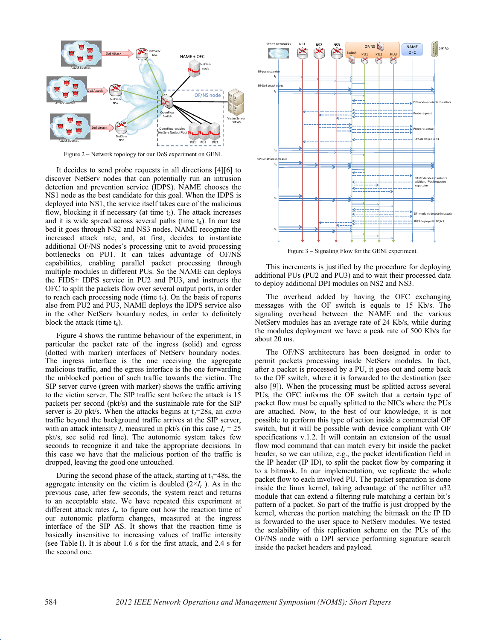

Figure 2 – Network topology for our DoS experiment on GENI.

It decides to send probe requests in all directions [4][6] to discover NetServ nodes that can potentially run an intrusion detection and prevention service (IDPS). NAME chooses the NS1 node as the best candidate for this goal. When the IDPS is deployed into NS1, the service itself takes care of the malicious flow, blocking it if necessary (at time  $t_3$ ). The attack increases and it is wide spread across several paths (time  $t_4$ ). In our test bed it goes through NS2 and NS3 nodes. NAME recognize the increased attack rate, and, at first, decides to instantiate additional OF/NS nodes's processing unit to avoid processing bottlenecks on PU1. It can takes advantage of OF/NS capabilities, enabling parallel packet processing through multiple modules in different PUs. So the NAME can deploys the FIDS+ IDPS service in PU2 and PU3, and instructs the OFC to split the packets flow over several output ports, in order to reach each processing node (time  $t<sub>5</sub>$ ). On the basis of reports also from PU2 and PU3, NAME deploys the IDPS service also in the other NetServ boundary nodes, in order to definitely block the attack (time  $t_6$ ).

Figure 4 shows the runtime behaviour of the experiment, in particular the packet rate of the ingress (solid) and egress (dotted with marker) interfaces of NetServ boundary nodes. The ingress interface is the one receiving the aggregate malicious traffic, and the egress interface is the one forwarding the unblocked portion of such traffic towards the victim. The SIP server curve (green with marker) shows the traffic arriving to the victim server. The SIP traffic sent before the attack is 15 packets per second (pkt/s) and the sustainable rate for the SIP server is 20 pkt/s. When the attacks begins at  $t_2$ =28s, an *extra* traffic beyond the background traffic arrives at the SIP server, with an attack intensity  $I_r$  measured in pkt/s (in this case  $I_r = 25$ pkt/s, see solid red line). The autonomic system takes few seconds to recognize it and take the appropriate decisions. In this case we have that the malicious portion of the traffic is dropped, leaving the good one untouched.

During the second phase of the attack, starting at  $t_4$ =48s, the aggregate intensity on the victim is doubled  $(2\times I_r)$ . As in the previous case, after few seconds, the system react and returns to an acceptable state. We have repeated this experiment at different attack rates *Ir*, to figure out how the reaction time of our autonomic platform changes, measured at the ingress interface of the SIP AS. It shows that the reaction time is basically insensitive to increasing values of traffic intensity (see Table I). It is about 1.6 s for the first attack, and 2.4 s for the second one.



Figure 3 – Signaling Flow for the GENI experiment.

This increments is justified by the procedure for deploying additional PUs (PU2 and PU3) and to wait their processed data to deploy additional DPI modules on NS2 and NS3.

The overhead added by having the OFC exchanging messages with the OF switch is equals to 15 Kb/s. The signaling overhead between the NAME and the various NetServ modules has an average rate of 24 Kb/s, while during the modules deployment we have a peak rate of 500 Kb/s for about 20 ms.

The OF/NS architecture has been designed in order to permit packets processing inside NetServ modules. In fact, after a packet is processed by a PU, it goes out and come back to the OF switch, where it is forwarded to the destination (see also [9]). When the processing must be splitted across several PUs, the OFC informs the OF switch that a certain type of packet flow must be equally splitted to the NICs where the PUs are attached. Now, to the best of our knowledge, it is not possible to perform this type of action inside a commercial OF switch, but it will be possible with device compliant with OF specifications v.1.2. It will contain an extension of the usual flow mod command that can match every bit inside the packet header, so we can utilize, e.g., the packet identification field in the IP header (IP ID), to split the packet flow by comparing it to a bitmask. In our implementation, we replicate the whole packet flow to each involved PU. The packet separation is done inside the linux kernel, taking advantage of the netfilter u32 module that can extend a filtering rule matching a certain bit's pattern of a packet. So part of the traffic is just dropped by the kernel, whereas the portion matching the bitmask on the IP ID is forwarded to the user space to NetServ modules. We tested the scalability of this replication scheme on the PUs of the OF/NS node with a DPI service performing signature search inside the packet headers and payload.